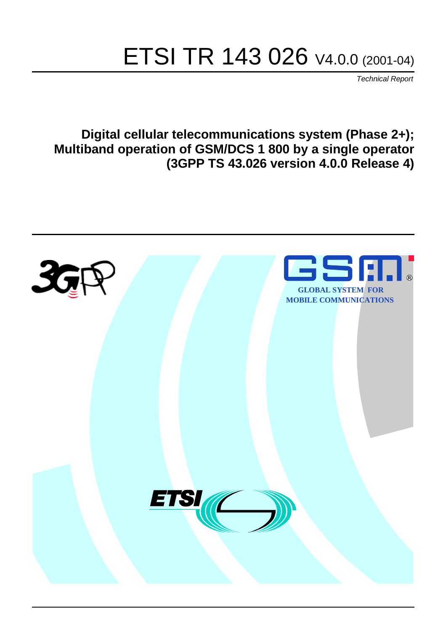# ETSI TR 143 026 V4.0.0 (2001-04)

Technical Report

**Digital cellular telecommunications system (Phase 2+); Multiband operation of GSM/DCS 1 800 by a single operator (3GPP TS 43.026 version 4.0.0 Release 4)**

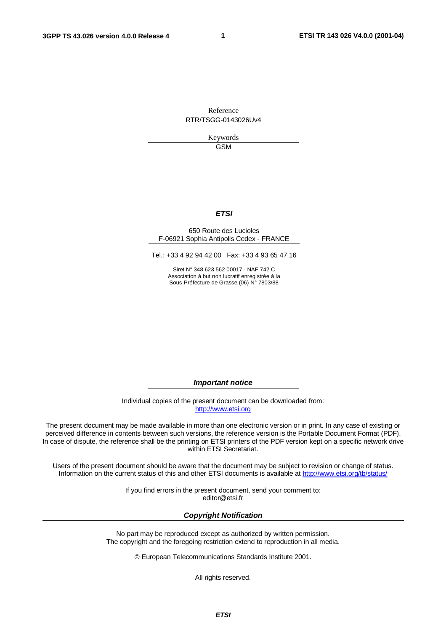**1**

Reference RTR/TSGG-0143026Uv4

> Keywords GSM

#### **ETSI**

#### 650 Route des Lucioles F-06921 Sophia Antipolis Cedex - FRANCE

Tel.: +33 4 92 94 42 00 Fax: +33 4 93 65 47 16

Siret N° 348 623 562 00017 - NAF 742 C Association à but non lucratif enregistrée à la Sous-Préfecture de Grasse (06) N° 7803/88

**Important notice**

Individual copies of the present document can be downloaded from: [http://www.etsi.org](http://www.etsi.org/)

The present document may be made available in more than one electronic version or in print. In any case of existing or perceived difference in contents between such versions, the reference version is the Portable Document Format (PDF). In case of dispute, the reference shall be the printing on ETSI printers of the PDF version kept on a specific network drive within ETSI Secretariat.

Users of the present document should be aware that the document may be subject to revision or change of status. Information on the current status of this and other ETSI documents is available at [http://www.etsi.org/tb/status/](http://www.etsi.org/tb/status)

> If you find errors in the present document, send your comment to: [editor@etsi.fr](....Program FilesMicrosoft OfficeTemplatesETSI )

#### **Copyright Notification**

No part may be reproduced except as authorized by written permission. The copyright and the foregoing restriction extend to reproduction in all media.

© European Telecommunications Standards Institute 2001.

All rights reserved.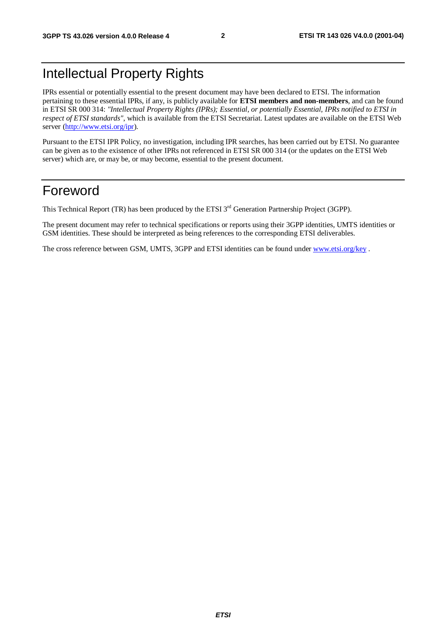# Intellectual Property Rights

IPRs essential or potentially essential to the present document may have been declared to ETSI. The information pertaining to these essential IPRs, if any, is publicly available for **ETSI members and non-members**, and can be found in ETSI SR 000 314: *"Intellectual Property Rights (IPRs); Essential, or potentially Essential, IPRs notified to ETSI in respect of ETSI standards"*, which is available from the ETSI Secretariat. Latest updates are available on the ETSI Web server [\(http://www.etsi.org/ipr](http://www.etsi.org/ipr)).

Pursuant to the ETSI IPR Policy, no investigation, including IPR searches, has been carried out by ETSI. No guarantee can be given as to the existence of other IPRs not referenced in ETSI SR 000 314 (or the updates on the ETSI Web server) which are, or may be, or may become, essential to the present document.

### Foreword

This Technical Report (TR) has been produced by the ETSI 3<sup>rd</sup> Generation Partnership Project (3GPP).

The present document may refer to technical specifications or reports using their 3GPP identities, UMTS identities or GSM identities. These should be interpreted as being references to the corresponding ETSI deliverables.

The cross reference between GSM, UMTS, 3GPP and ETSI identities can be found under [www.etsi.org/key](http://www.etsi.org/key) .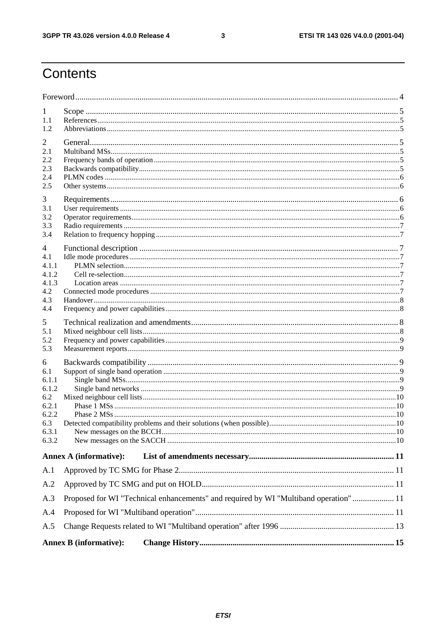$\mathbf{3}$ 

# Contents

| 1              |                                                                                       |  |
|----------------|---------------------------------------------------------------------------------------|--|
| 1.1            |                                                                                       |  |
| 1.2            |                                                                                       |  |
| 2<br>2.1       |                                                                                       |  |
| 2.2            |                                                                                       |  |
| 2.3            |                                                                                       |  |
| 2.4<br>2.5     |                                                                                       |  |
|                |                                                                                       |  |
| 3<br>3.1       |                                                                                       |  |
| 3.2            |                                                                                       |  |
| 3.3            |                                                                                       |  |
| 3.4            |                                                                                       |  |
| 4              |                                                                                       |  |
| 4.1<br>4.1.1   |                                                                                       |  |
| 4.1.2          |                                                                                       |  |
| 4.1.3          |                                                                                       |  |
| 4.2            |                                                                                       |  |
| 4.3<br>4.4     |                                                                                       |  |
| 5              |                                                                                       |  |
| 5.1            |                                                                                       |  |
| 5.2            |                                                                                       |  |
| 5.3            |                                                                                       |  |
| 6              |                                                                                       |  |
| 6.1<br>6.1.1   |                                                                                       |  |
| 6.1.2          |                                                                                       |  |
| 6.2            |                                                                                       |  |
| 6.2.1<br>6.2.2 |                                                                                       |  |
| 6.3            |                                                                                       |  |
| 6.3.1          |                                                                                       |  |
| 6.3.2          |                                                                                       |  |
|                | <b>Annex A (informative):</b>                                                         |  |
| A.1            |                                                                                       |  |
| A.2            |                                                                                       |  |
| A.3            | Proposed for WI "Technical enhancements" and required by WI "Multiband operation"  11 |  |
| A.4            |                                                                                       |  |
| A.5            |                                                                                       |  |
|                | <b>Annex B</b> (informative):                                                         |  |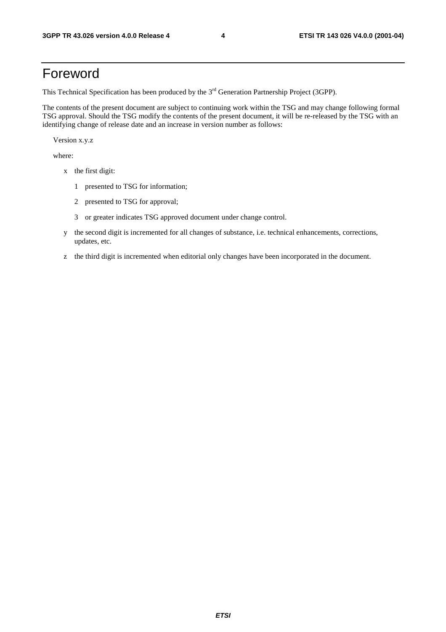## Foreword

This Technical Specification has been produced by the 3<sup>rd</sup> Generation Partnership Project (3GPP).

The contents of the present document are subject to continuing work within the TSG and may change following formal TSG approval. Should the TSG modify the contents of the present document, it will be re-released by the TSG with an identifying change of release date and an increase in version number as follows:

Version x.y.z

where:

- x the first digit:
	- 1 presented to TSG for information;
	- 2 presented to TSG for approval;
	- 3 or greater indicates TSG approved document under change control.
- y the second digit is incremented for all changes of substance, i.e. technical enhancements, corrections, updates, etc.
- z the third digit is incremented when editorial only changes have been incorporated in the document.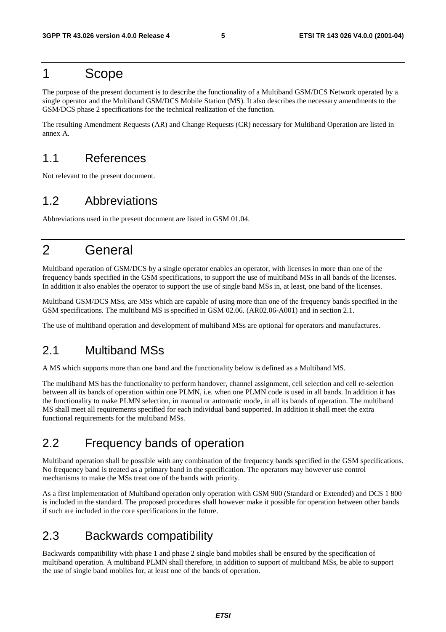### 1 Scope

The purpose of the present document is to describe the functionality of a Multiband GSM/DCS Network operated by a single operator and the Multiband GSM/DCS Mobile Station (MS). It also describes the necessary amendments to the GSM/DCS phase 2 specifications for the technical realization of the function.

The resulting Amendment Requests (AR) and Change Requests (CR) necessary for Multiband Operation are listed in annex A.

### 1.1 References

Not relevant to the present document.

### 1.2 Abbreviations

Abbreviations used in the present document are listed in GSM 01.04.

# 2 General

Multiband operation of GSM/DCS by a single operator enables an operator, with licenses in more than one of the frequency bands specified in the GSM specifications, to support the use of multiband MSs in all bands of the licenses. In addition it also enables the operator to support the use of single band MSs in, at least, one band of the licenses.

Multiband GSM/DCS MSs, are MSs which are capable of using more than one of the frequency bands specified in the GSM specifications. The multiband MS is specified in GSM 02.06. (AR02.06-A001) and in section 2.1.

The use of multiband operation and development of multiband MSs are optional for operators and manufactures.

### 2.1 Multiband MSs

A MS which supports more than one band and the functionality below is defined as a Multiband MS.

The multiband MS has the functionality to perform handover, channel assignment, cell selection and cell re-selection between all its bands of operation within one PLMN, i.e. when one PLMN code is used in all bands. In addition it has the functionality to make PLMN selection, in manual or automatic mode, in all its bands of operation. The multiband MS shall meet all requirements specified for each individual band supported. In addition it shall meet the extra functional requirements for the multiband MSs.

### 2.2 Frequency bands of operation

Multiband operation shall be possible with any combination of the frequency bands specified in the GSM specifications. No frequency band is treated as a primary band in the specification. The operators may however use control mechanisms to make the MSs treat one of the bands with priority.

As a first implementation of Multiband operation only operation with GSM 900 (Standard or Extended) and DCS 1 800 is included in the standard. The proposed procedures shall however make it possible for operation between other bands if such are included in the core specifications in the future.

### 2.3 Backwards compatibility

Backwards compatibility with phase 1 and phase 2 single band mobiles shall be ensured by the specification of multiband operation. A multiband PLMN shall therefore, in addition to support of multiband MSs, be able to support the use of single band mobiles for, at least one of the bands of operation.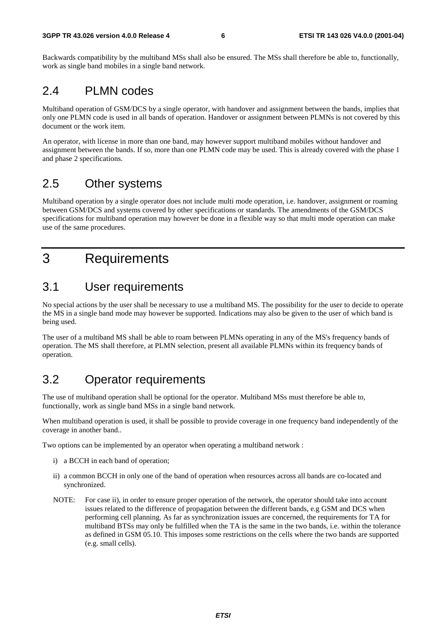Backwards compatibility by the multiband MSs shall also be ensured. The MSs shall therefore be able to, functionally, work as single band mobiles in a single band network.

### 2.4 PLMN codes

Multiband operation of GSM/DCS by a single operator, with handover and assignment between the bands, implies that only one PLMN code is used in all bands of operation. Handover or assignment between PLMNs is not covered by this document or the work item.

An operator, with license in more than one band, may however support multiband mobiles without handover and assignment between the bands. If so, more than one PLMN code may be used. This is already covered with the phase 1 and phase 2 specifications.

### 2.5 Other systems

Multiband operation by a single operator does not include multi mode operation, i.e. handover, assignment or roaming between GSM/DCS and systems covered by other specifications or standards. The amendments of the GSM/DCS specifications for multiband operation may however be done in a flexible way so that multi mode operation can make use of the same procedures.

# 3 Requirements

### 3.1 User requirements

No special actions by the user shall be necessary to use a multiband MS. The possibility for the user to decide to operate the MS in a single band mode may however be supported. Indications may also be given to the user of which band is being used.

The user of a multiband MS shall be able to roam between PLMNs operating in any of the MS's frequency bands of operation. The MS shall therefore, at PLMN selection, present all available PLMNs within its frequency bands of operation.

### 3.2 Operator requirements

The use of multiband operation shall be optional for the operator. Multiband MSs must therefore be able to, functionally, work as single band MSs in a single band network.

When multiband operation is used, it shall be possible to provide coverage in one frequency band independently of the coverage in another band..

Two options can be implemented by an operator when operating a multiband network :

- i) a BCCH in each band of operation;
- ii) a common BCCH in only one of the band of operation when resources across all bands are co-located and synchronized.
- NOTE: For case ii), in order to ensure proper operation of the network, the operator should take into account issues related to the difference of propagation between the different bands, e.g GSM and DCS when performing cell planning. As far as synchronization issues are concerned, the requirements for TA for multiband BTSs may only be fulfilled when the TA is the same in the two bands, i.e. within the tolerance as defined in GSM 05.10. This imposes some restrictions on the cells where the two bands are supported (e.g. small cells).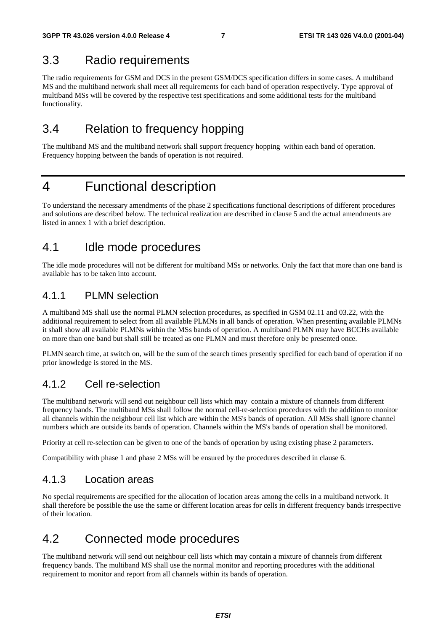### 3.3 Radio requirements

The radio requirements for GSM and DCS in the present GSM/DCS specification differs in some cases. A multiband MS and the multiband network shall meet all requirements for each band of operation respectively. Type approval of multiband MSs will be covered by the respective test specifications and some additional tests for the multiband functionality.

### 3.4 Relation to frequency hopping

The multiband MS and the multiband network shall support frequency hopping within each band of operation. Frequency hopping between the bands of operation is not required.

# 4 Functional description

To understand the necessary amendments of the phase 2 specifications functional descriptions of different procedures and solutions are described below. The technical realization are described in clause 5 and the actual amendments are listed in annex 1 with a brief description.

### 4.1 Idle mode procedures

The idle mode procedures will not be different for multiband MSs or networks. Only the fact that more than one band is available has to be taken into account.

### 4.1.1 PLMN selection

A multiband MS shall use the normal PLMN selection procedures, as specified in GSM 02.11 and 03.22, with the additional requirement to select from all available PLMNs in all bands of operation. When presenting available PLMNs it shall show all available PLMNs within the MSs bands of operation. A multiband PLMN may have BCCHs available on more than one band but shall still be treated as one PLMN and must therefore only be presented once.

PLMN search time, at switch on, will be the sum of the search times presently specified for each band of operation if no prior knowledge is stored in the MS.

### 4.1.2 Cell re-selection

The multiband network will send out neighbour cell lists which may contain a mixture of channels from different frequency bands. The multiband MSs shall follow the normal cell-re-selection procedures with the addition to monitor all channels within the neighbour cell list which are within the MS's bands of operation. All MSs shall ignore channel numbers which are outside its bands of operation. Channels within the MS's bands of operation shall be monitored.

Priority at cell re-selection can be given to one of the bands of operation by using existing phase 2 parameters.

Compatibility with phase 1 and phase 2 MSs will be ensured by the procedures described in clause 6.

### 4.1.3 Location areas

No special requirements are specified for the allocation of location areas among the cells in a multiband network. It shall therefore be possible the use the same or different location areas for cells in different frequency bands irrespective of their location.

### 4.2 Connected mode procedures

The multiband network will send out neighbour cell lists which may contain a mixture of channels from different frequency bands. The multiband MS shall use the normal monitor and reporting procedures with the additional requirement to monitor and report from all channels within its bands of operation.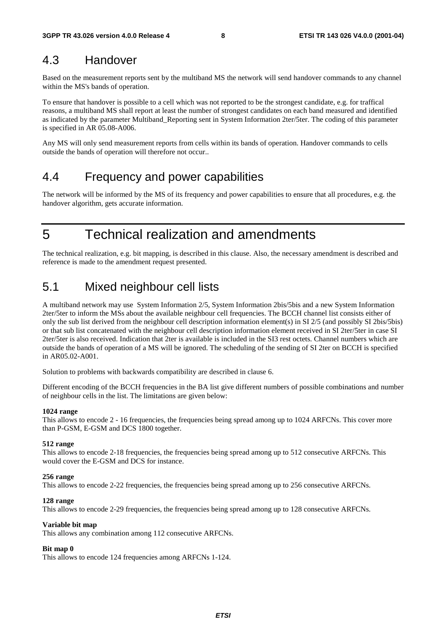### 4.3 Handover

Based on the measurement reports sent by the multiband MS the network will send handover commands to any channel within the MS's bands of operation.

To ensure that handover is possible to a cell which was not reported to be the strongest candidate, e.g. for traffical reasons, a multiband MS shall report at least the number of strongest candidates on each band measured and identified as indicated by the parameter Multiband\_Reporting sent in System Information 2ter/5ter. The coding of this parameter is specified in AR 05.08-A006.

Any MS will only send measurement reports from cells within its bands of operation. Handover commands to cells outside the bands of operation will therefore not occur..

### 4.4 Frequency and power capabilities

The network will be informed by the MS of its frequency and power capabilities to ensure that all procedures, e.g. the handover algorithm, gets accurate information.

5 Technical realization and amendments

The technical realization, e.g. bit mapping, is described in this clause. Also, the necessary amendment is described and reference is made to the amendment request presented.

### 5.1 Mixed neighbour cell lists

A multiband network may use System Information 2/5, System Information 2bis/5bis and a new System Information 2ter/5ter to inform the MSs about the available neighbour cell frequencies. The BCCH channel list consists either of only the sub list derived from the neighbour cell description information element(s) in SI 2/5 (and possibly SI 2bis/5bis) or that sub list concatenated with the neighbour cell description information element received in SI 2ter/5ter in case SI 2ter/5ter is also received. Indication that 2ter is available is included in the SI3 rest octets. Channel numbers which are outside the bands of operation of a MS will be ignored. The scheduling of the sending of SI 2ter on BCCH is specified in AR05.02-A001.

Solution to problems with backwards compatibility are described in clause 6.

Different encoding of the BCCH frequencies in the BA list give different numbers of possible combinations and number of neighbour cells in the list. The limitations are given below:

#### **1024 range**

This allows to encode 2 - 16 frequencies, the frequencies being spread among up to 1024 ARFCNs. This cover more than P-GSM, E-GSM and DCS 1800 together.

#### **512 range**

This allows to encode 2-18 frequencies, the frequencies being spread among up to 512 consecutive ARFCNs. This would cover the E-GSM and DCS for instance.

#### **256 range**

This allows to encode 2-22 frequencies, the frequencies being spread among up to 256 consecutive ARFCNs.

#### **128 range**

This allows to encode 2-29 frequencies, the frequencies being spread among up to 128 consecutive ARFCNs.

#### **Variable bit map**

This allows any combination among 112 consecutive ARFCNs.

#### **Bit map 0**

This allows to encode 124 frequencies among ARFCNs 1-124.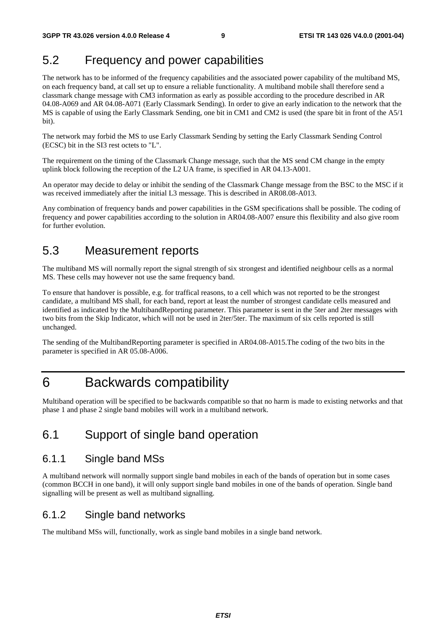### 5.2 Frequency and power capabilities

The network has to be informed of the frequency capabilities and the associated power capability of the multiband MS, on each frequency band, at call set up to ensure a reliable functionality. A multiband mobile shall therefore send a classmark change message with CM3 information as early as possible according to the procedure described in AR 04.08-A069 and AR 04.08-A071 (Early Classmark Sending)*.* In order to give an early indication to the network that the MS is capable of using the Early Classmark Sending, one bit in CM1 and CM2 is used (the spare bit in front of the A5/1 bit).

The network may forbid the MS to use Early Classmark Sending by setting the Early Classmark Sending Control (ECSC) bit in the SI3 rest octets to "L".

The requirement on the timing of the Classmark Change message, such that the MS send CM change in the empty uplink block following the reception of the L2 UA frame, is specified in AR 04.13-A001.

An operator may decide to delay or inhibit the sending of the Classmark Change message from the BSC to the MSC if it was received immediately after the initial L3 message. This is described in AR08.08-A013.

Any combination of frequency bands and power capabilities in the GSM specifications shall be possible. The coding of frequency and power capabilities according to the solution in AR04.08-A007 ensure this flexibility and also give room for further evolution.

### 5.3 Measurement reports

The multiband MS will normally report the signal strength of six strongest and identified neighbour cells as a normal MS. These cells may however not use the same frequency band.

To ensure that handover is possible, e.g. for traffical reasons, to a cell which was not reported to be the strongest candidate, a multiband MS shall, for each band, report at least the number of strongest candidate cells measured and identified as indicated by the MultibandReporting parameter. This parameter is sent in the 5ter and 2ter messages with two bits from the Skip Indicator, which will not be used in 2ter/5ter. The maximum of six cells reported is still unchanged.

The sending of the MultibandReporting parameter is specified in AR04.08-A015.The coding of the two bits in the parameter is specified in AR 05.08-A006.

### 6 Backwards compatibility

Multiband operation will be specified to be backwards compatible so that no harm is made to existing networks and that phase 1 and phase 2 single band mobiles will work in a multiband network.

### 6.1 Support of single band operation

### 6.1.1 Single band MSs

A multiband network will normally support single band mobiles in each of the bands of operation but in some cases (common BCCH in one band), it will only support single band mobiles in one of the bands of operation. Single band signalling will be present as well as multiband signalling.

### 6.1.2 Single band networks

The multiband MSs will, functionally, work as single band mobiles in a single band network.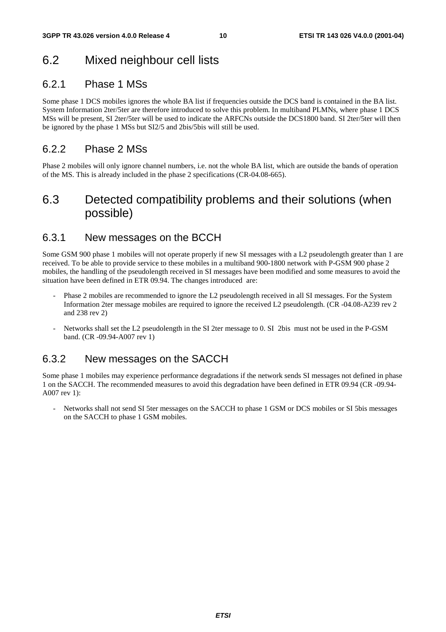### 6.2 Mixed neighbour cell lists

### 6.2.1 Phase 1 MSs

Some phase 1 DCS mobiles ignores the whole BA list if frequencies outside the DCS band is contained in the BA list. System Information 2ter/5ter are therefore introduced to solve this problem. In multiband PLMNs, where phase 1 DCS MSs will be present, SI 2ter/5ter will be used to indicate the ARFCNs outside the DCS1800 band. SI 2ter/5ter will then be ignored by the phase 1 MSs but SI2/5 and 2bis/5bis will still be used.

### 6.2.2 Phase 2 MSs

Phase 2 mobiles will only ignore channel numbers, i.e. not the whole BA list, which are outside the bands of operation of the MS. This is already included in the phase 2 specifications (CR-04.08-665).

### 6.3 Detected compatibility problems and their solutions (when possible)

### 6.3.1 New messages on the BCCH

Some GSM 900 phase 1 mobiles will not operate properly if new SI messages with a L2 pseudolength greater than 1 are received. To be able to provide service to these mobiles in a multiband 900-1800 network with P-GSM 900 phase 2 mobiles, the handling of the pseudolength received in SI messages have been modified and some measures to avoid the situation have been defined in ETR 09.94. The changes introduced are:

- Phase 2 mobiles are recommended to ignore the L2 pseudolength received in all SI messages. For the System Information 2ter message mobiles are required to ignore the received L2 pseudolength. (CR -04.08-A239 rev 2 and 238 rev 2)
- Networks shall set the L2 pseudolength in the SI 2ter message to 0. SI 2bis must not be used in the P-GSM band. (CR -09.94-A007 rev 1)

### 6.3.2 New messages on the SACCH

Some phase 1 mobiles may experience performance degradations if the network sends SI messages not defined in phase 1 on the SACCH. The recommended measures to avoid this degradation have been defined in ETR 09.94 (CR -09.94- A007 rev 1):

Networks shall not send SI 5ter messages on the SACCH to phase 1 GSM or DCS mobiles or SI 5bis messages on the SACCH to phase 1 GSM mobiles.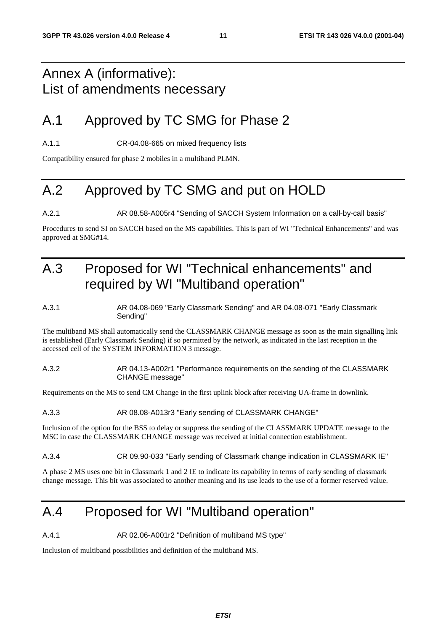# Annex A (informative): List of amendments necessary

# A.1 Approved by TC SMG for Phase 2

A.1.1 CR-04.08-665 on mixed frequency lists

Compatibility ensured for phase 2 mobiles in a multiband PLMN.

# A.2 Approved by TC SMG and put on HOLD

A.2.1 AR 08.58-A005r4 "Sending of SACCH System Information on a call-by-call basis"

Procedures to send SI on SACCH based on the MS capabilities. This is part of WI "Technical Enhancements" and was approved at SMG#14.

# A.3 Proposed for WI "Technical enhancements" and required by WI "Multiband operation"

#### A.3.1 AR 04.08-069 "Early Classmark Sending" and AR 04.08-071 "Early Classmark Sending"

The multiband MS shall automatically send the CLASSMARK CHANGE message as soon as the main signalling link is established (Early Classmark Sending) if so permitted by the network, as indicated in the last reception in the accessed cell of the SYSTEM INFORMATION 3 message.

#### A.3.2 AR 04.13-A002r1 "Performance requirements on the sending of the CLASSMARK CHANGE message"

Requirements on the MS to send CM Change in the first uplink block after receiving UA-frame in downlink.

#### A.3.3 AR 08.08-A013r3 "Early sending of CLASSMARK CHANGE"

Inclusion of the option for the BSS to delay or suppress the sending of the CLASSMARK UPDATE message to the MSC in case the CLASSMARK CHANGE message was received at initial connection establishment.

#### A.3.4 CR 09.90-033 "Early sending of Classmark change indication in CLASSMARK IE"

A phase 2 MS uses one bit in Classmark 1 and 2 IE to indicate its capability in terms of early sending of classmark change message. This bit was associated to another meaning and its use leads to the use of a former reserved value.

# A.4 Proposed for WI "Multiband operation"

A.4.1 AR 02.06-A001r2 "Definition of multiband MS type"

Inclusion of multiband possibilities and definition of the multiband MS.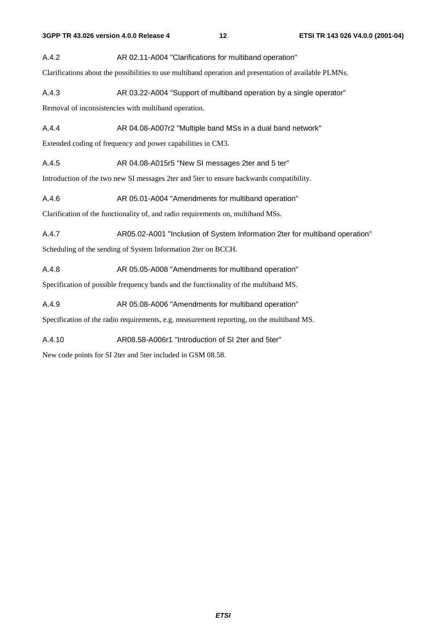A.4.2 AR 02.11-A004 "Clarifications for multiband operation"

Clarifications about the possibilities to use multiband operation and presentation of available PLMNs.

A.4.3 AR 03.22-A004 "Support of multiband operation by a single operator"

Removal of inconsistencies with multiband operation.

A.4.4 AR 04.08-A007r2 "Multiple band MSs in a dual band network"

Extended coding of frequency and power capabilities in CM3.

A.4.5 AR 04.08-A015r5 "New SI messages 2ter and 5 ter"

Introduction of the two new SI messages 2ter and 5ter to ensure backwards compatibility.

A.4.6 AR 05.01-A004 "Amendments for multiband operation"

Clarification of the functionality of, and radio requirements on, multiband MSs.

A.4.7 AR05.02-A001 "Inclusion of System Information 2ter for multiband operation"

Scheduling of the sending of System Information 2ter on BCCH.

A.4.8 AR 05.05-A008 "Amendments for multiband operation"

Specification of possible frequency bands and the functionality of the multiband MS.

A.4.9 AR 05.08-A006 "Amendments for multiband operation"

Specification of the radio requirements, e.g. measurement reporting, on the multiband MS.

A.4.10 AR08.58-A006r1 "Introduction of SI 2ter and 5ter"

New code points for SI 2ter and 5ter included in GSM 08.58.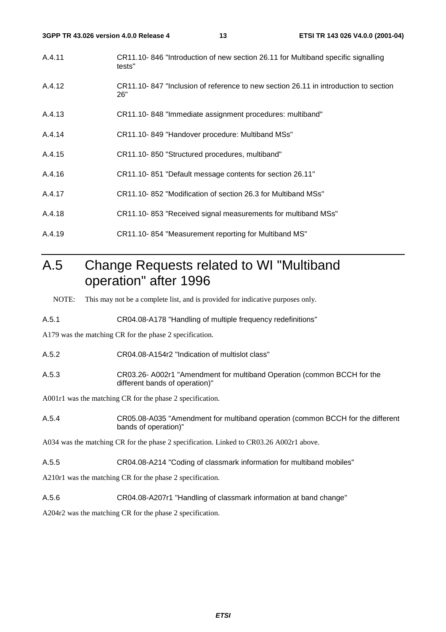| 3GPP TR 43.026 version 4.0.0 Release 4 |        | 13                                                           | ETSI TR 143 026 V4.0.0 (2001-04)                                                    |
|----------------------------------------|--------|--------------------------------------------------------------|-------------------------------------------------------------------------------------|
| A.4.11                                 | tests" |                                                              | CR11.10-846 "Introduction of new section 26.11 for Multiband specific signalling    |
| A.4.12                                 | 26"    |                                                              | CR11.10-847 "Inclusion of reference to new section 26.11 in introduction to section |
| A.4.13                                 |        | CR11.10-848 "Immediate assignment procedures: multiband"     |                                                                                     |
| A.4.14                                 |        | CR11.10-849 "Handover procedure: Multiband MSs"              |                                                                                     |
| A.4.15                                 |        | CR11.10-850 "Structured procedures, multiband"               |                                                                                     |
| A.4.16                                 |        | CR11.10-851 "Default message contents for section 26.11"     |                                                                                     |
| A.4.17                                 |        | CR11.10-852 "Modification of section 26.3 for Multiband MSs" |                                                                                     |
| A.4.18                                 |        | CR11.10-853 "Received signal measurements for multiband MSs" |                                                                                     |
|                                        |        |                                                              |                                                                                     |

# A.5 Change Requests related to WI "Multiband operation" after 1996

NOTE: This may not be a complete list, and is provided for indicative purposes only.

A.5.1 CR04.08-A178 "Handling of multiple frequency redefinitions"

A.4.19 CR11.10- 854 "Measurement reporting for Multiband MS"

A179 was the matching CR for the phase 2 specification.

A.5.2 CR04.08-A154r2 "Indication of multislot class"

A.5.3 CR03.26- A002r1 "Amendment for multiband Operation (common BCCH for the different bands of operation)"

A001r1 was the matching CR for the phase 2 specification.

A.5.4 CR05.08-A035 "Amendment for multiband operation (common BCCH for the different bands of operation)"

A034 was the matching CR for the phase 2 specification. Linked to CR03.26 A002r1 above.

A.5.5 CR04.08-A214 "Coding of classmark information for multiband mobiles"

A210r1 was the matching CR for the phase 2 specification.

A.5.6 CR04.08-A207r1 "Handling of classmark information at band change"

A204r2 was the matching CR for the phase 2 specification.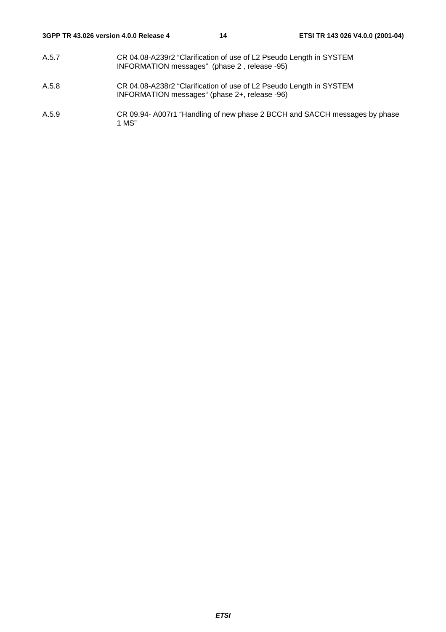- A.5.7 CR 04.08-A239r2 "Clarification of use of L2 Pseudo Length in SYSTEM INFORMATION messages" (phase 2 , release -95)
- A.5.8 CR 04.08-A238r2 "Clarification of use of L2 Pseudo Length in SYSTEM INFORMATION messages" (phase 2+, release -96)
- A.5.9 CR 09.94- A007r1 "Handling of new phase 2 BCCH and SACCH messages by phase 1 MS"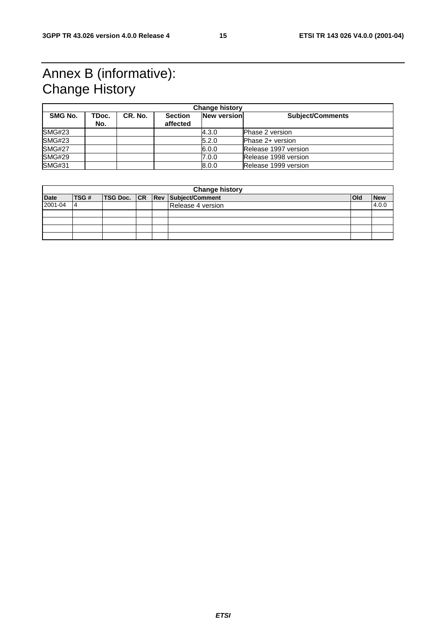# Annex B (informative): Change History

| <b>Change history</b> |              |         |                            |             |                         |
|-----------------------|--------------|---------|----------------------------|-------------|-------------------------|
| SMG No.               | TDoc.<br>No. | CR. No. | <b>Section</b><br>affected | New version | <b>Subject/Comments</b> |
| <b>SMG#23</b>         |              |         |                            | 4.3.0       | <b>Phase 2 version</b>  |
| <b>SMG#23</b>         |              |         |                            | 5.2.0       | Phase 2+ version        |
| <b>SMG#27</b>         |              |         |                            | 6.0.0       | Release 1997 version    |
| <b>SMG#29</b>         |              |         |                            | 7.0.0       | Release 1998 version    |
| <b>SMG#31</b>         |              |         |                            | 8.0.0       | Release 1999 version    |

|             | <b>Change history</b> |  |  |  |                                 |     |            |
|-------------|-----------------------|--|--|--|---------------------------------|-----|------------|
| <b>Date</b> | <b>TSG#</b>           |  |  |  | TSG Doc. CR Rev Subject/Comment | Old | <b>New</b> |
| 2001-04     | 14                    |  |  |  | Release 4 version               |     | 4.0.0      |
|             |                       |  |  |  |                                 |     |            |
|             |                       |  |  |  |                                 |     |            |
|             |                       |  |  |  |                                 |     |            |
|             |                       |  |  |  |                                 |     |            |